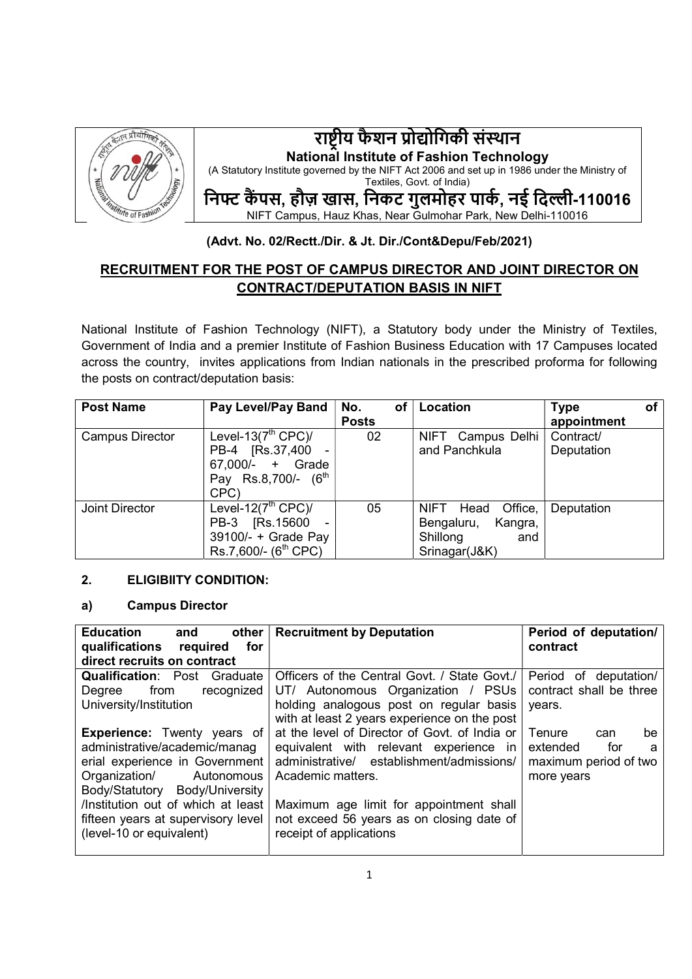

# राष्ट्रीय फैशन प्रोद्योगिकी संस्थान National Institute of Fashion Technology (A Statutory Institute governed by the NIFT Act 2006 and set up in 1986 under the Ministry of

Textiles, Govt. of India)

निफ्ट कैंपस, हौज़ खास, निकट गुलमोहर पार्क, नई दिल्ली-110016

NIFT Campus, Hauz Khas, Near Gulmohar Park, New Delhi-110016

# (Advt. No. 02/Rectt./Dir. & Jt. Dir./Cont&Depu/Feb/2021)

# RECRUITMENT FOR THE POST OF CAMPUS DIRECTOR AND JOINT DIRECTOR ON CONTRACT/DEPUTATION BASIS IN NIFT

National Institute of Fashion Technology (NIFT), a Statutory body under the Ministry of Textiles, Government of India and a premier Institute of Fashion Business Education with 17 Campuses located across the country, invites applications from Indian nationals in the prescribed proforma for following the posts on contract/deputation basis:

| <b>Post Name</b>       | <b>Pay Level/Pay Band</b>        | No.<br>of    | Location                | οf<br><b>Type</b> |
|------------------------|----------------------------------|--------------|-------------------------|-------------------|
|                        |                                  | <b>Posts</b> |                         | appointment       |
| <b>Campus Director</b> | Level-13 $(7th$ CPC $)/$         | 02           | NIFT<br>Campus Delhi    | Contract/         |
|                        | [Rs.37,400]<br>PB-4              |              | and Panchkula           | Deputation        |
|                        | 67,000/-<br>Grade<br>$+$         |              |                         |                   |
|                        | Pay Rs.8,700/- $(6th$            |              |                         |                   |
|                        | CPC)                             |              |                         |                   |
| Joint Director         | Level-12 $(7th$ CPC $)/$         | 05           | Office,<br>NIFT<br>Head | Deputation        |
|                        | [Rs.15600]<br>PB-3               |              | Kangra,<br>Bengaluru,   |                   |
|                        | 39100/- + Grade Pay              |              | Shillong<br>and         |                   |
|                        | Rs.7,600/- (6 <sup>th</sup> CPC) |              | Srinagar(J&K)           |                   |

## 2. ELIGIBIITY CONDITION:

## a) Campus Director

| <b>Education</b><br>other<br>and<br>qualifications<br>for<br>required | <b>Recruitment by Deputation</b>              | Period of deputation/<br>contract |
|-----------------------------------------------------------------------|-----------------------------------------------|-----------------------------------|
| direct recruits on contract                                           |                                               |                                   |
| <b>Qualification: Post Graduate</b>                                   | Officers of the Central Govt. / State Govt./  | Period of deputation/             |
| recognized<br>from<br>Degree                                          | UT/ Autonomous Organization / PSUs            | contract shall be three           |
| University/Institution                                                | holding analogous post on regular basis       | years.                            |
|                                                                       | with at least 2 years experience on the post  |                                   |
| <b>Experience:</b> Twenty years of                                    | at the level of Director of Govt, of India or | Tenure<br>be<br>can               |
| administrative/academic/manag                                         | equivalent with relevant experience in        | extended<br>for<br>a              |
| erial experience in Government                                        | administrative/ establishment/admissions/     | maximum period of two             |
| Organization/<br>Autonomous                                           | Academic matters.                             | more years                        |
| Body/Statutory Body/University                                        |                                               |                                   |
| /Institution out of which at least                                    | Maximum age limit for appointment shall       |                                   |
| fifteen years at supervisory level                                    | not exceed 56 years as on closing date of     |                                   |
| (level-10 or equivalent)                                              | receipt of applications                       |                                   |
|                                                                       |                                               |                                   |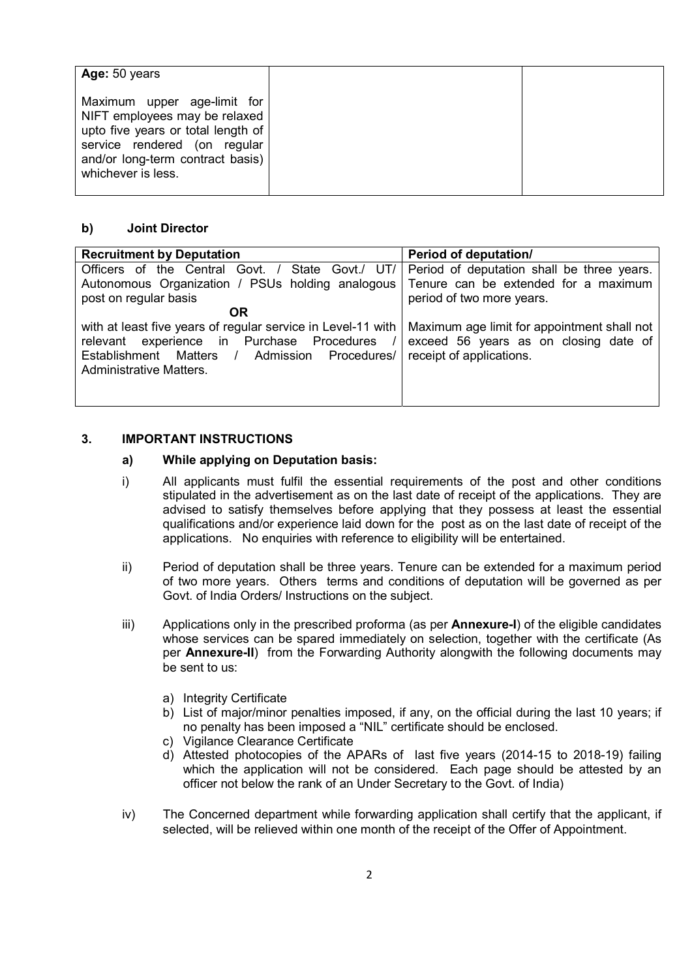| Age: 50 years                                                                                                                                                                                |  |
|----------------------------------------------------------------------------------------------------------------------------------------------------------------------------------------------|--|
| Maximum upper age-limit for<br>NIFT employees may be relaxed<br>upto five years or total length of<br>service rendered (on regular<br>and/or long-term contract basis)<br>whichever is less. |  |

#### b) Joint Director

| <b>Recruitment by Deputation</b>                                                                                                                                                          | Period of deputation/                                                                                            |
|-------------------------------------------------------------------------------------------------------------------------------------------------------------------------------------------|------------------------------------------------------------------------------------------------------------------|
| Officers of the Central Govt. / State Govt./ UT/                                                                                                                                          | Period of deputation shall be three years.                                                                       |
| Autonomous Organization / PSUs holding analogous Tenure can be extended for a maximum                                                                                                     |                                                                                                                  |
| post on regular basis                                                                                                                                                                     | period of two more years.                                                                                        |
| <b>OR</b>                                                                                                                                                                                 |                                                                                                                  |
| with at least five years of regular service in Level-11 with<br>relevant experience in Purchase Procedures<br>Establishment<br>Matters / Admission Procedures/<br>Administrative Matters. | Maximum age limit for appointment shall not<br>exceed 56 years as on closing date of<br>receipt of applications. |

## 3. IMPORTANT INSTRUCTIONS

#### a) While applying on Deputation basis:

- i) All applicants must fulfil the essential requirements of the post and other conditions stipulated in the advertisement as on the last date of receipt of the applications. They are advised to satisfy themselves before applying that they possess at least the essential qualifications and/or experience laid down for the post as on the last date of receipt of the applications. No enquiries with reference to eligibility will be entertained.
- ii) Period of deputation shall be three years. Tenure can be extended for a maximum period of two more years. Others terms and conditions of deputation will be governed as per Govt. of India Orders/ Instructions on the subject.
- iii) Applications only in the prescribed proforma (as per **Annexure-I**) of the eligible candidates whose services can be spared immediately on selection, together with the certificate (As per Annexure-II) from the Forwarding Authority alongwith the following documents may be sent to us:
	- a) Integrity Certificate
	- b) List of major/minor penalties imposed, if any, on the official during the last 10 years; if no penalty has been imposed a "NIL" certificate should be enclosed.
	- c) Vigilance Clearance Certificate
	- d) Attested photocopies of the APARs of last five years (2014-15 to 2018-19) failing which the application will not be considered. Each page should be attested by an officer not below the rank of an Under Secretary to the Govt. of India)
- iv) The Concerned department while forwarding application shall certify that the applicant, if selected, will be relieved within one month of the receipt of the Offer of Appointment.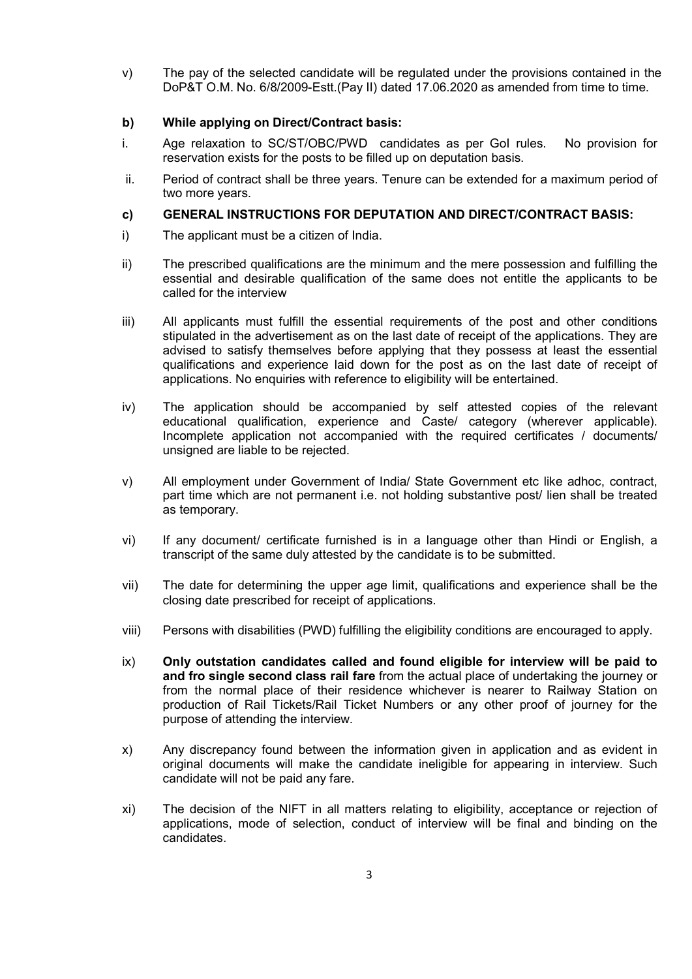v) The pay of the selected candidate will be regulated under the provisions contained in the DoP&T O.M. No. 6/8/2009-Estt.(Pay II) dated 17.06.2020 as amended from time to time.

#### b) While applying on Direct/Contract basis:

- i. Age relaxation to SC/ST/OBC/PWD candidates as per GoI rules. No provision for reservation exists for the posts to be filled up on deputation basis.
- ii. Period of contract shall be three years. Tenure can be extended for a maximum period of two more years.

#### c) GENERAL INSTRUCTIONS FOR DEPUTATION AND DIRECT/CONTRACT BASIS:

- i) The applicant must be a citizen of India.
- ii) The prescribed qualifications are the minimum and the mere possession and fulfilling the essential and desirable qualification of the same does not entitle the applicants to be called for the interview
- iii) All applicants must fulfill the essential requirements of the post and other conditions stipulated in the advertisement as on the last date of receipt of the applications. They are advised to satisfy themselves before applying that they possess at least the essential qualifications and experience laid down for the post as on the last date of receipt of applications. No enquiries with reference to eligibility will be entertained.
- iv) The application should be accompanied by self attested copies of the relevant educational qualification, experience and Caste/ category (wherever applicable). Incomplete application not accompanied with the required certificates / documents/ unsigned are liable to be rejected.
- v) All employment under Government of India/ State Government etc like adhoc, contract, part time which are not permanent i.e. not holding substantive post/ lien shall be treated as temporary.
- vi) If any document/ certificate furnished is in a language other than Hindi or English, a transcript of the same duly attested by the candidate is to be submitted.
- vii) The date for determining the upper age limit, qualifications and experience shall be the closing date prescribed for receipt of applications.
- viii) Persons with disabilities (PWD) fulfilling the eligibility conditions are encouraged to apply.
- ix) Only outstation candidates called and found eligible for interview will be paid to and fro single second class rail fare from the actual place of undertaking the journey or from the normal place of their residence whichever is nearer to Railway Station on production of Rail Tickets/Rail Ticket Numbers or any other proof of journey for the purpose of attending the interview.
- x) Any discrepancy found between the information given in application and as evident in original documents will make the candidate ineligible for appearing in interview. Such candidate will not be paid any fare.
- xi) The decision of the NIFT in all matters relating to eligibility, acceptance or rejection of applications, mode of selection, conduct of interview will be final and binding on the candidates.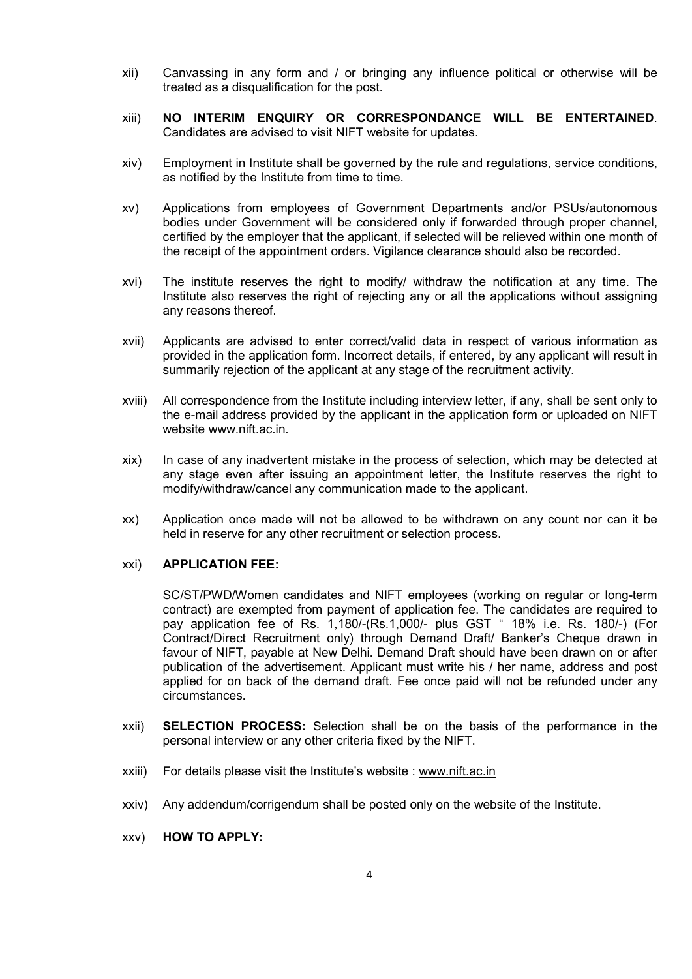- xii) Canvassing in any form and / or bringing any influence political or otherwise will be treated as a disqualification for the post.
- xiii) NO INTERIM ENQUIRY OR CORRESPONDANCE WILL BE ENTERTAINED. Candidates are advised to visit NIFT website for updates.
- xiv) Employment in Institute shall be governed by the rule and regulations, service conditions, as notified by the Institute from time to time.
- xv) Applications from employees of Government Departments and/or PSUs/autonomous bodies under Government will be considered only if forwarded through proper channel, certified by the employer that the applicant, if selected will be relieved within one month of the receipt of the appointment orders. Vigilance clearance should also be recorded.
- xvi) The institute reserves the right to modify/ withdraw the notification at any time. The Institute also reserves the right of rejecting any or all the applications without assigning any reasons thereof.
- xvii) Applicants are advised to enter correct/valid data in respect of various information as provided in the application form. Incorrect details, if entered, by any applicant will result in summarily rejection of the applicant at any stage of the recruitment activity.
- xviii) All correspondence from the Institute including interview letter, if any, shall be sent only to the e-mail address provided by the applicant in the application form or uploaded on NIFT website www.nift.ac.in.
- xix) In case of any inadvertent mistake in the process of selection, which may be detected at any stage even after issuing an appointment letter, the Institute reserves the right to modify/withdraw/cancel any communication made to the applicant.
- xx) Application once made will not be allowed to be withdrawn on any count nor can it be held in reserve for any other recruitment or selection process.

#### xxi) APPLICATION FEE:

SC/ST/PWD/Women candidates and NIFT employees (working on regular or long-term contract) are exempted from payment of application fee. The candidates are required to pay application fee of Rs. 1,180/-(Rs.1,000/- plus GST " 18% i.e. Rs. 180/-) (For Contract/Direct Recruitment only) through Demand Draft/ Banker's Cheque drawn in favour of NIFT, payable at New Delhi. Demand Draft should have been drawn on or after publication of the advertisement. Applicant must write his / her name, address and post applied for on back of the demand draft. Fee once paid will not be refunded under any circumstances.

- xxii) SELECTION PROCESS: Selection shall be on the basis of the performance in the personal interview or any other criteria fixed by the NIFT.
- xxiii) For details please visit the Institute's website : www.nift.ac.in
- xxiv) Any addendum/corrigendum shall be posted only on the website of the Institute.
- xxv) HOW TO APPLY: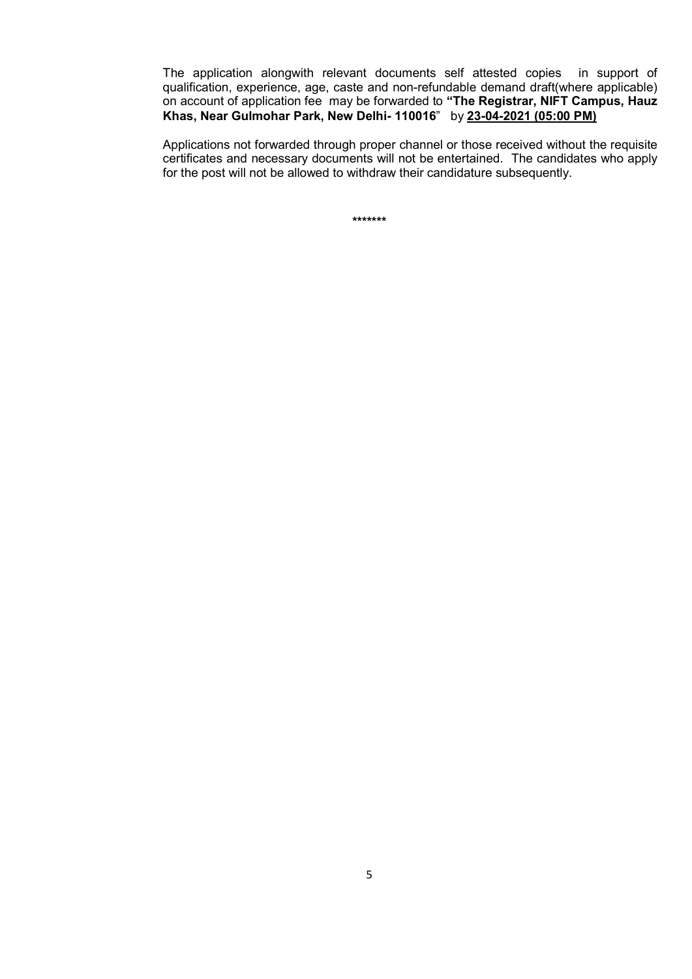The application alongwith relevant documents self attested copies in support of qualification, experience, age, caste and non-refundable demand draft(where applicable) on account of application fee may be forwarded to "The Registrar, NIFT Campus, Hauz Khas, Near Gulmohar Park, New Delhi- 110016" by 23-04-2021 (05:00 PM)

Applications not forwarded through proper channel or those received without the requisite certificates and necessary documents will not be entertained. The candidates who apply for the post will not be allowed to withdraw their candidature subsequently.

\*\*\*\*\*\*\*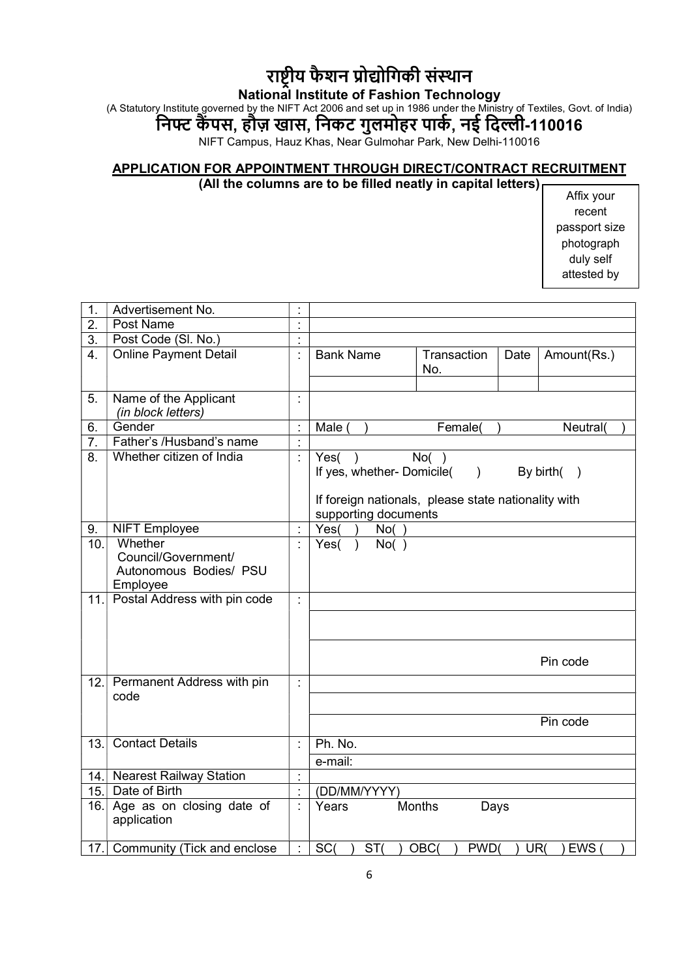# राष्ट्रीय फैशन प्रोद्योगिकी संस्थान

#### National Institute of Fashion Technology

(A Statutory Institute governed by the NIFT Act 2006 and set up in 1986 under the Ministry of Textiles, Govt. of India)

# निफ्ट कैंपस, हौज़ खास, निकट गुलमोहर पार्क, नई दिल्ली-110016

NIFT Campus, Hauz Khas, Near Gulmohar Park, New Delhi-110016

#### APPLICATION FOR APPOINTMENT THROUGH DIRECT/CONTRACT RECRUITMENT (All the columns are to be filled neatly in capital letters)

Affix your recent passport size photograph duly self attested by

| 1.               | Advertisement No.                                                    |                |                                                                                                                    |                          |      |                        |
|------------------|----------------------------------------------------------------------|----------------|--------------------------------------------------------------------------------------------------------------------|--------------------------|------|------------------------|
| $\overline{2}$ . | Post Name                                                            | $\bullet$      |                                                                                                                    |                          |      |                        |
| 3.               | Post Code (SI. No.)                                                  | $\epsilon$     |                                                                                                                    |                          |      |                        |
| $\overline{4}$ . | <b>Online Payment Detail</b>                                         | ł,             | <b>Bank Name</b>                                                                                                   | Transaction<br>No.       | Date | Amount(Rs.)            |
| 5.               | Name of the Applicant<br>(in block letters)                          | $\blacksquare$ |                                                                                                                    |                          |      |                        |
| 6.               | Gender                                                               |                | Male (                                                                                                             | Female(                  |      | Neutral(               |
| 7.               | Father's /Husband's name                                             |                |                                                                                                                    |                          |      |                        |
| 8.               | Whether citizen of India                                             |                | Yes()<br>If yes, whether- Domicile(<br>If foreign nationals, please state nationality with<br>supporting documents | No( )<br>$\mathcal{L}$   |      | By birth(<br>$\lambda$ |
| 9.               | <b>NIFT Employee</b>                                                 |                | Yes(<br>No( )                                                                                                      |                          |      |                        |
| 10.              | Whether<br>Council/Government/<br>Autonomous Bodies/ PSU<br>Employee |                | Yes(<br>No( )                                                                                                      |                          |      |                        |
| 11.              | Postal Address with pin code                                         | ł.             |                                                                                                                    |                          |      | Pin code               |
|                  | 12. Permanent Address with pin<br>code                               | ÷.             |                                                                                                                    |                          |      | Pin code               |
|                  |                                                                      |                |                                                                                                                    |                          |      |                        |
| 13.              | <b>Contact Details</b>                                               | ÷              | Ph. No.<br>e-mail:                                                                                                 |                          |      |                        |
|                  | 14. Nearest Railway Station                                          |                |                                                                                                                    |                          |      |                        |
| 15.              | Date of Birth                                                        |                | (DD/MM/YYYY)                                                                                                       |                          |      |                        |
|                  | 16. Age as on closing date of<br>application                         | ÷              | Years                                                                                                              | Months<br>Days           |      |                        |
|                  | 17. Community (Tick and enclose                                      | ÷              | SC <sub>(</sub><br>ST <sub>(</sub>                                                                                 | OBC(<br>PWD <sub>(</sub> | UR(  | <b>EWS</b>             |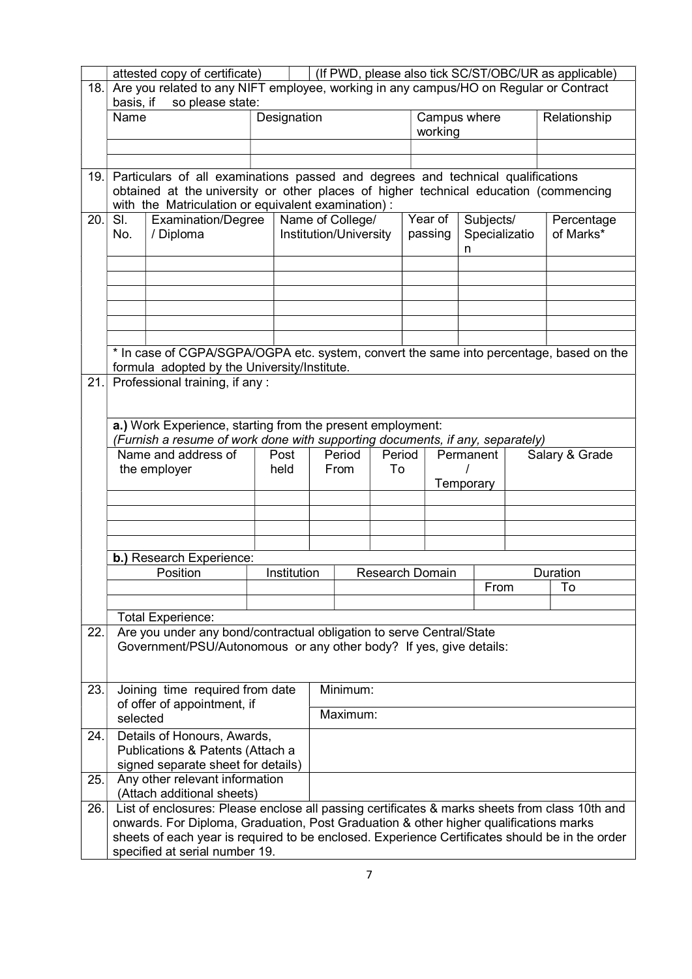|      |                                                                                                                        | attested copy of certificate)                                                                                                                                                                                                                                                                                               |             |                        |                                            |    |  |                         |  |                                 |                | (If PWD, please also tick SC/ST/OBC/UR as applicable) |
|------|------------------------------------------------------------------------------------------------------------------------|-----------------------------------------------------------------------------------------------------------------------------------------------------------------------------------------------------------------------------------------------------------------------------------------------------------------------------|-------------|------------------------|--------------------------------------------|----|--|-------------------------|--|---------------------------------|----------------|-------------------------------------------------------|
| 18.  | Are you related to any NIFT employee, working in any campus/HO on Regular or Contract<br>basis, if<br>so please state: |                                                                                                                                                                                                                                                                                                                             |             |                        |                                            |    |  |                         |  |                                 |                |                                                       |
|      | Name                                                                                                                   |                                                                                                                                                                                                                                                                                                                             | Designation |                        |                                            |    |  | Campus where<br>working |  |                                 |                | Relationship                                          |
|      |                                                                                                                        |                                                                                                                                                                                                                                                                                                                             |             |                        |                                            |    |  |                         |  |                                 |                |                                                       |
| 19.1 |                                                                                                                        | Particulars of all examinations passed and degrees and technical qualifications<br>obtained at the university or other places of higher technical education (commencing<br>with the Matriculation or equivalent examination):                                                                                               |             |                        |                                            |    |  |                         |  |                                 |                |                                                       |
| 20.  | SI.<br>No.                                                                                                             | Examination/Degree<br>/ Diploma                                                                                                                                                                                                                                                                                             |             |                        | Name of College/<br>Institution/University |    |  | Year of<br>passing      |  | Subjects/<br>Specializatio<br>n |                | Percentage<br>of Marks*                               |
|      |                                                                                                                        |                                                                                                                                                                                                                                                                                                                             |             |                        |                                            |    |  |                         |  |                                 |                |                                                       |
|      |                                                                                                                        |                                                                                                                                                                                                                                                                                                                             |             |                        |                                            |    |  |                         |  |                                 |                |                                                       |
|      |                                                                                                                        | * In case of CGPA/SGPA/OGPA etc. system, convert the same into percentage, based on the<br>formula adopted by the University/Institute.                                                                                                                                                                                     |             |                        |                                            |    |  |                         |  |                                 |                |                                                       |
| 21.  |                                                                                                                        | Professional training, if any:                                                                                                                                                                                                                                                                                              |             |                        |                                            |    |  |                         |  |                                 |                |                                                       |
|      |                                                                                                                        | a.) Work Experience, starting from the present employment:<br>(Furnish a resume of work done with supporting documents, if any, separately)                                                                                                                                                                                 |             |                        |                                            |    |  |                         |  |                                 |                |                                                       |
|      |                                                                                                                        | Name and address of                                                                                                                                                                                                                                                                                                         | Post        | Period<br>Period       |                                            |    |  | Permanent               |  |                                 | Salary & Grade |                                                       |
|      |                                                                                                                        | the employer                                                                                                                                                                                                                                                                                                                | held        |                        | From                                       | To |  | Temporary               |  |                                 |                |                                                       |
|      |                                                                                                                        |                                                                                                                                                                                                                                                                                                                             |             |                        |                                            |    |  |                         |  |                                 |                |                                                       |
|      |                                                                                                                        |                                                                                                                                                                                                                                                                                                                             |             |                        |                                            |    |  |                         |  |                                 |                |                                                       |
|      |                                                                                                                        | b.) Research Experience:<br>Position                                                                                                                                                                                                                                                                                        | Institution |                        |                                            |    |  |                         |  |                                 |                | Duration                                              |
|      |                                                                                                                        |                                                                                                                                                                                                                                                                                                                             |             | <b>Research Domain</b> |                                            |    |  | From                    |  | To                              |                |                                                       |
|      |                                                                                                                        |                                                                                                                                                                                                                                                                                                                             |             |                        |                                            |    |  |                         |  |                                 |                |                                                       |
| 22.  |                                                                                                                        | <b>Total Experience:</b><br>Are you under any bond/contractual obligation to serve Central/State<br>Government/PSU/Autonomous or any other body? If yes, give details:                                                                                                                                                      |             |                        |                                            |    |  |                         |  |                                 |                |                                                       |
|      |                                                                                                                        |                                                                                                                                                                                                                                                                                                                             |             |                        |                                            |    |  |                         |  |                                 |                |                                                       |
| 23.  | selected                                                                                                               | Joining time required from date<br>of offer of appointment, if                                                                                                                                                                                                                                                              |             |                        | Minimum:<br>Maximum:                       |    |  |                         |  |                                 |                |                                                       |
| 24.  |                                                                                                                        | Details of Honours, Awards,<br>Publications & Patents (Attach a                                                                                                                                                                                                                                                             |             |                        |                                            |    |  |                         |  |                                 |                |                                                       |
|      |                                                                                                                        | signed separate sheet for details)                                                                                                                                                                                                                                                                                          |             |                        |                                            |    |  |                         |  |                                 |                |                                                       |
| 25.  |                                                                                                                        | Any other relevant information<br>(Attach additional sheets)                                                                                                                                                                                                                                                                |             |                        |                                            |    |  |                         |  |                                 |                |                                                       |
| 26.  |                                                                                                                        | List of enclosures: Please enclose all passing certificates & marks sheets from class 10th and<br>onwards. For Diploma, Graduation, Post Graduation & other higher qualifications marks<br>sheets of each year is required to be enclosed. Experience Certificates should be in the order<br>specified at serial number 19. |             |                        |                                            |    |  |                         |  |                                 |                |                                                       |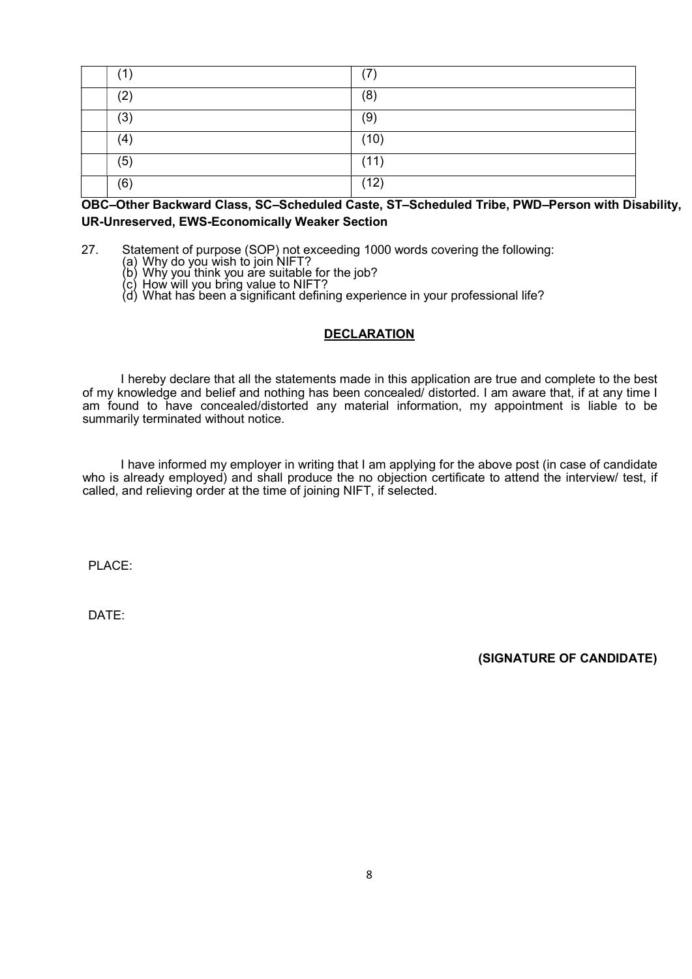|     | (7)  |
|-----|------|
| (2) | (8)  |
| (3) | (9)  |
| (4) | (10) |
| (5) | (11) |
| (6) | (12) |

## OBC–Other Backward Class, SC–Scheduled Caste, ST–Scheduled Tribe, PWD–Person with Disability, UR-Unreserved, EWS-Economically Weaker Section

27. Statement of purpose (SOP) not exceeding 1000 words covering the following:

- (a) Why do you wish to join NIFT?
- (b) Why you think you are suitable for the job?
- (c) How will you bring value to NIFT?
- (d) What has been a significant defining experience in your professional life?

#### **DECLARATION**

I hereby declare that all the statements made in this application are true and complete to the best of my knowledge and belief and nothing has been concealed/ distorted. I am aware that, if at any time I am found to have concealed/distorted any material information, my appointment is liable to be summarily terminated without notice.

I have informed my employer in writing that I am applying for the above post (in case of candidate who is already employed) and shall produce the no objection certificate to attend the interview/ test, if called, and relieving order at the time of joining NIFT, if selected.

PLACE:

DATE:

(SIGNATURE OF CANDIDATE)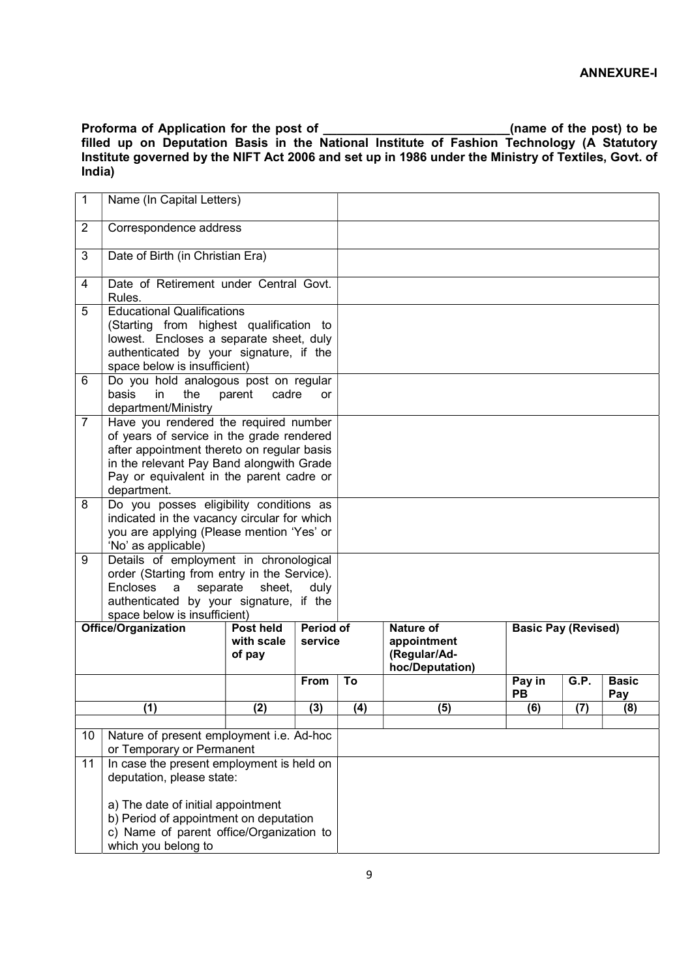Proforma of Application for the post of \_\_\_\_\_\_\_\_\_\_\_\_\_\_\_\_\_\_\_\_\_\_\_\_\_\_\_\_\_\_\_(name of the post) to be filled up on Deputation Basis in the National Institute of Fashion Technology (A Statutory Institute governed by the NIFT Act 2006 and set up in 1986 under the Ministry of Textiles, Govt. of India)

| $\mathbf 1$                                     | Name (In Capital Letters)                                                                |                 |                  |     |                  |                            |      |              |
|-------------------------------------------------|------------------------------------------------------------------------------------------|-----------------|------------------|-----|------------------|----------------------------|------|--------------|
| $\overline{2}$                                  | Correspondence address                                                                   |                 |                  |     |                  |                            |      |              |
| 3                                               | Date of Birth (in Christian Era)                                                         |                 |                  |     |                  |                            |      |              |
| 4                                               | Date of Retirement under Central Govt.<br>Rules.                                         |                 |                  |     |                  |                            |      |              |
| 5                                               | <b>Educational Qualifications</b><br>(Starting from highest qualification to             |                 |                  |     |                  |                            |      |              |
|                                                 | lowest. Encloses a separate sheet, duly                                                  |                 |                  |     |                  |                            |      |              |
|                                                 | authenticated by your signature, if the                                                  |                 |                  |     |                  |                            |      |              |
|                                                 | space below is insufficient)                                                             |                 |                  |     |                  |                            |      |              |
| 6                                               | Do you hold analogous post on regular<br>basis<br>in<br>the                              | cadre<br>parent | or               |     |                  |                            |      |              |
|                                                 | department/Ministry                                                                      |                 |                  |     |                  |                            |      |              |
| $\overline{7}$                                  | Have you rendered the required number                                                    |                 |                  |     |                  |                            |      |              |
|                                                 | of years of service in the grade rendered                                                |                 |                  |     |                  |                            |      |              |
|                                                 | after appointment thereto on regular basis                                               |                 |                  |     |                  |                            |      |              |
|                                                 | in the relevant Pay Band alongwith Grade                                                 |                 |                  |     |                  |                            |      |              |
|                                                 | Pay or equivalent in the parent cadre or                                                 |                 |                  |     |                  |                            |      |              |
|                                                 | department.                                                                              |                 |                  |     |                  |                            |      |              |
| 8                                               | Do you posses eligibility conditions as                                                  |                 |                  |     |                  |                            |      |              |
|                                                 | indicated in the vacancy circular for which<br>you are applying (Please mention 'Yes' or |                 |                  |     |                  |                            |      |              |
|                                                 | 'No' as applicable)                                                                      |                 |                  |     |                  |                            |      |              |
| 9                                               | Details of employment in chronological                                                   |                 |                  |     |                  |                            |      |              |
|                                                 | order (Starting from entry in the Service).<br>Encloses a<br>separate                    | sheet,          | duly             |     |                  |                            |      |              |
|                                                 | authenticated by your signature, if the                                                  |                 |                  |     |                  |                            |      |              |
|                                                 | space below is insufficient)                                                             |                 |                  |     |                  |                            |      |              |
|                                                 | <b>Office/Organization</b>                                                               | Post held       | <b>Period of</b> |     | <b>Nature of</b> | <b>Basic Pay (Revised)</b> |      |              |
|                                                 |                                                                                          | with scale      | service          |     | appointment      |                            |      |              |
|                                                 |                                                                                          | of pay          |                  |     | (Regular/Ad-     |                            |      |              |
|                                                 |                                                                                          |                 | From             | To  | hoc/Deputation)  | Pay in                     | G.P. | <b>Basic</b> |
|                                                 |                                                                                          |                 |                  |     |                  | PB                         |      | Pay          |
|                                                 | (1)                                                                                      | (2)             | (3)              | (4) | (5)              | (6)                        | (7)  | (8)          |
|                                                 |                                                                                          |                 |                  |     |                  |                            |      |              |
| Nature of present employment i.e. Ad-hoc<br>10  |                                                                                          |                 |                  |     |                  |                            |      |              |
| or Temporary or Permanent                       |                                                                                          |                 |                  |     |                  |                            |      |              |
| In case the present employment is held on<br>11 |                                                                                          |                 |                  |     |                  |                            |      |              |
|                                                 | deputation, please state:                                                                |                 |                  |     |                  |                            |      |              |
|                                                 | a) The date of initial appointment                                                       |                 |                  |     |                  |                            |      |              |
|                                                 | b) Period of appointment on deputation                                                   |                 |                  |     |                  |                            |      |              |
|                                                 | c) Name of parent office/Organization to                                                 |                 |                  |     |                  |                            |      |              |
|                                                 | which you belong to                                                                      |                 |                  |     |                  |                            |      |              |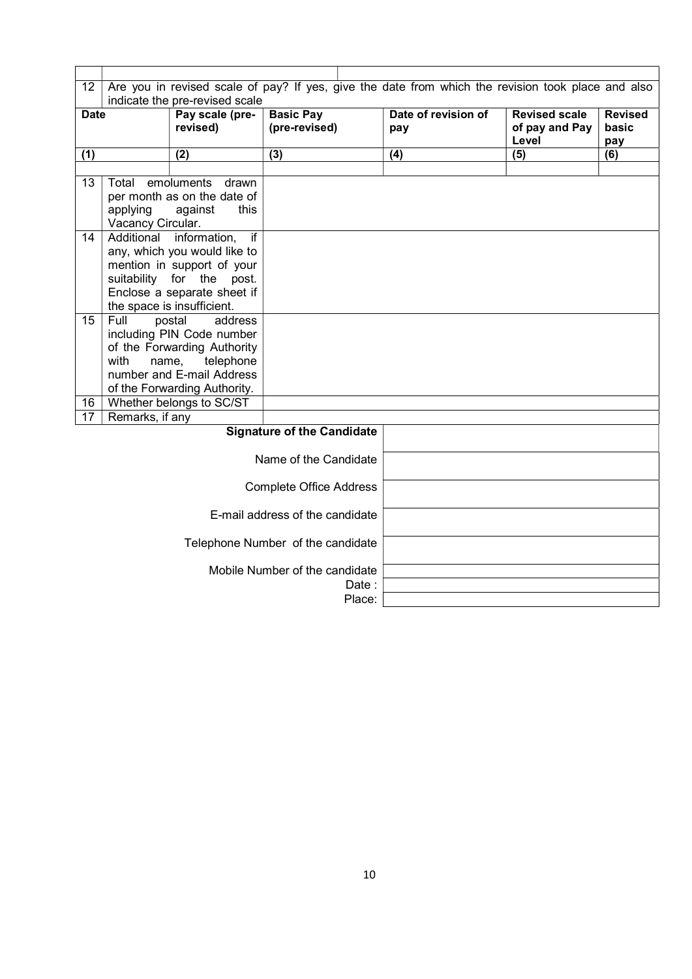| 12          | Are you in revised scale of pay? If yes, give the date from which the revision took place and also |                                          |                                   |                     |                      |                |  |  |  |
|-------------|----------------------------------------------------------------------------------------------------|------------------------------------------|-----------------------------------|---------------------|----------------------|----------------|--|--|--|
|             | indicate the pre-revised scale                                                                     |                                          |                                   |                     |                      |                |  |  |  |
| <b>Date</b> |                                                                                                    | Pay scale (pre-                          | <b>Basic Pay</b>                  | Date of revision of | <b>Revised scale</b> | <b>Revised</b> |  |  |  |
|             |                                                                                                    | revised)                                 | (pre-revised)                     | pay                 | of pay and Pay       | basic          |  |  |  |
| (1)         |                                                                                                    | (2)                                      | $\overline{(3)}$                  | (4)                 | Level<br>(5)         | pay<br>(6)     |  |  |  |
|             |                                                                                                    |                                          |                                   |                     |                      |                |  |  |  |
| 13          | Total                                                                                              | emoluments<br>drawn                      |                                   |                     |                      |                |  |  |  |
|             |                                                                                                    | per month as on the date of              |                                   |                     |                      |                |  |  |  |
|             | applying                                                                                           | against<br>this                          |                                   |                     |                      |                |  |  |  |
|             | Vacancy Circular.                                                                                  |                                          |                                   |                     |                      |                |  |  |  |
| 14          |                                                                                                    | Additional information,<br>if            |                                   |                     |                      |                |  |  |  |
|             |                                                                                                    | any, which you would like to             |                                   |                     |                      |                |  |  |  |
|             |                                                                                                    | mention in support of your               |                                   |                     |                      |                |  |  |  |
|             |                                                                                                    | suitability for the post.                |                                   |                     |                      |                |  |  |  |
|             |                                                                                                    | Enclose a separate sheet if              |                                   |                     |                      |                |  |  |  |
|             |                                                                                                    | the space is insufficient.               |                                   |                     |                      |                |  |  |  |
| 15          | Full                                                                                               | postal<br>address                        |                                   |                     |                      |                |  |  |  |
|             |                                                                                                    | including PIN Code number                |                                   |                     |                      |                |  |  |  |
|             | with<br>name,                                                                                      | of the Forwarding Authority<br>telephone |                                   |                     |                      |                |  |  |  |
|             |                                                                                                    | number and E-mail Address                |                                   |                     |                      |                |  |  |  |
|             |                                                                                                    | of the Forwarding Authority.             |                                   |                     |                      |                |  |  |  |
| 16          |                                                                                                    | Whether belongs to SC/ST                 |                                   |                     |                      |                |  |  |  |
| 17          | Remarks, if any                                                                                    |                                          |                                   |                     |                      |                |  |  |  |
|             |                                                                                                    |                                          | <b>Signature of the Candidate</b> |                     |                      |                |  |  |  |
|             |                                                                                                    |                                          |                                   |                     |                      |                |  |  |  |
|             |                                                                                                    |                                          | Name of the Candidate             |                     |                      |                |  |  |  |
|             |                                                                                                    |                                          |                                   |                     |                      |                |  |  |  |
|             |                                                                                                    |                                          | <b>Complete Office Address</b>    |                     |                      |                |  |  |  |
|             |                                                                                                    |                                          |                                   |                     |                      |                |  |  |  |
|             |                                                                                                    |                                          | E-mail address of the candidate   |                     |                      |                |  |  |  |
|             |                                                                                                    |                                          | Telephone Number of the candidate |                     |                      |                |  |  |  |
|             |                                                                                                    |                                          |                                   |                     |                      |                |  |  |  |
|             |                                                                                                    |                                          | Mobile Number of the candidate    |                     |                      |                |  |  |  |
|             |                                                                                                    |                                          | Date :                            |                     |                      |                |  |  |  |
|             |                                                                                                    |                                          | Place:                            |                     |                      |                |  |  |  |